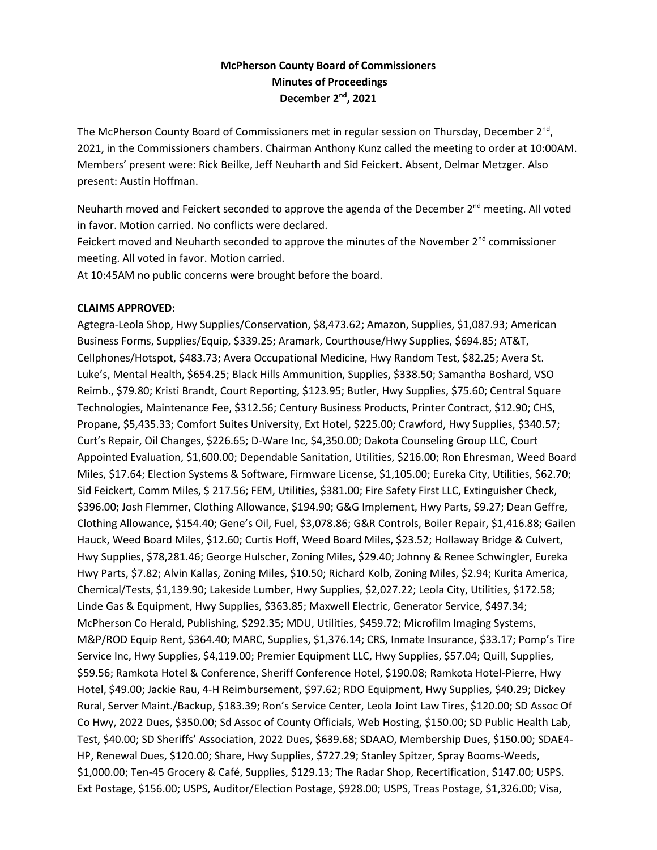## **McPherson County Board of Commissioners Minutes of Proceedings December 2nd, 2021**

The McPherson County Board of Commissioners met in regular session on Thursday, December 2<sup>nd</sup>, 2021, in the Commissioners chambers. Chairman Anthony Kunz called the meeting to order at 10:00AM. Members' present were: Rick Beilke, Jeff Neuharth and Sid Feickert. Absent, Delmar Metzger. Also present: Austin Hoffman.

Neuharth moved and Feickert seconded to approve the agenda of the December  $2<sup>nd</sup>$  meeting. All voted in favor. Motion carried. No conflicts were declared.

Feickert moved and Neuharth seconded to approve the minutes of the November  $2^{nd}$  commissioner meeting. All voted in favor. Motion carried.

At 10:45AM no public concerns were brought before the board.

#### **CLAIMS APPROVED:**

Agtegra-Leola Shop, Hwy Supplies/Conservation, \$8,473.62; Amazon, Supplies, \$1,087.93; American Business Forms, Supplies/Equip, \$339.25; Aramark, Courthouse/Hwy Supplies, \$694.85; AT&T, Cellphones/Hotspot, \$483.73; Avera Occupational Medicine, Hwy Random Test, \$82.25; Avera St. Luke's, Mental Health, \$654.25; Black Hills Ammunition, Supplies, \$338.50; Samantha Boshard, VSO Reimb., \$79.80; Kristi Brandt, Court Reporting, \$123.95; Butler, Hwy Supplies, \$75.60; Central Square Technologies, Maintenance Fee, \$312.56; Century Business Products, Printer Contract, \$12.90; CHS, Propane, \$5,435.33; Comfort Suites University, Ext Hotel, \$225.00; Crawford, Hwy Supplies, \$340.57; Curt's Repair, Oil Changes, \$226.65; D-Ware Inc, \$4,350.00; Dakota Counseling Group LLC, Court Appointed Evaluation, \$1,600.00; Dependable Sanitation, Utilities, \$216.00; Ron Ehresman, Weed Board Miles, \$17.64; Election Systems & Software, Firmware License, \$1,105.00; Eureka City, Utilities, \$62.70; Sid Feickert, Comm Miles, \$ 217.56; FEM, Utilities, \$381.00; Fire Safety First LLC, Extinguisher Check, \$396.00; Josh Flemmer, Clothing Allowance, \$194.90; G&G Implement, Hwy Parts, \$9.27; Dean Geffre, Clothing Allowance, \$154.40; Gene's Oil, Fuel, \$3,078.86; G&R Controls, Boiler Repair, \$1,416.88; Gailen Hauck, Weed Board Miles, \$12.60; Curtis Hoff, Weed Board Miles, \$23.52; Hollaway Bridge & Culvert, Hwy Supplies, \$78,281.46; George Hulscher, Zoning Miles, \$29.40; Johnny & Renee Schwingler, Eureka Hwy Parts, \$7.82; Alvin Kallas, Zoning Miles, \$10.50; Richard Kolb, Zoning Miles, \$2.94; Kurita America, Chemical/Tests, \$1,139.90; Lakeside Lumber, Hwy Supplies, \$2,027.22; Leola City, Utilities, \$172.58; Linde Gas & Equipment, Hwy Supplies, \$363.85; Maxwell Electric, Generator Service, \$497.34; McPherson Co Herald, Publishing, \$292.35; MDU, Utilities, \$459.72; Microfilm Imaging Systems, M&P/ROD Equip Rent, \$364.40; MARC, Supplies, \$1,376.14; CRS, Inmate Insurance, \$33.17; Pomp's Tire Service Inc, Hwy Supplies, \$4,119.00; Premier Equipment LLC, Hwy Supplies, \$57.04; Quill, Supplies, \$59.56; Ramkota Hotel & Conference, Sheriff Conference Hotel, \$190.08; Ramkota Hotel-Pierre, Hwy Hotel, \$49.00; Jackie Rau, 4-H Reimbursement, \$97.62; RDO Equipment, Hwy Supplies, \$40.29; Dickey Rural, Server Maint./Backup, \$183.39; Ron's Service Center, Leola Joint Law Tires, \$120.00; SD Assoc Of Co Hwy, 2022 Dues, \$350.00; Sd Assoc of County Officials, Web Hosting, \$150.00; SD Public Health Lab, Test, \$40.00; SD Sheriffs' Association, 2022 Dues, \$639.68; SDAAO, Membership Dues, \$150.00; SDAE4- HP, Renewal Dues, \$120.00; Share, Hwy Supplies, \$727.29; Stanley Spitzer, Spray Booms-Weeds, \$1,000.00; Ten-45 Grocery & Café, Supplies, \$129.13; The Radar Shop, Recertification, \$147.00; USPS. Ext Postage, \$156.00; USPS, Auditor/Election Postage, \$928.00; USPS, Treas Postage, \$1,326.00; Visa,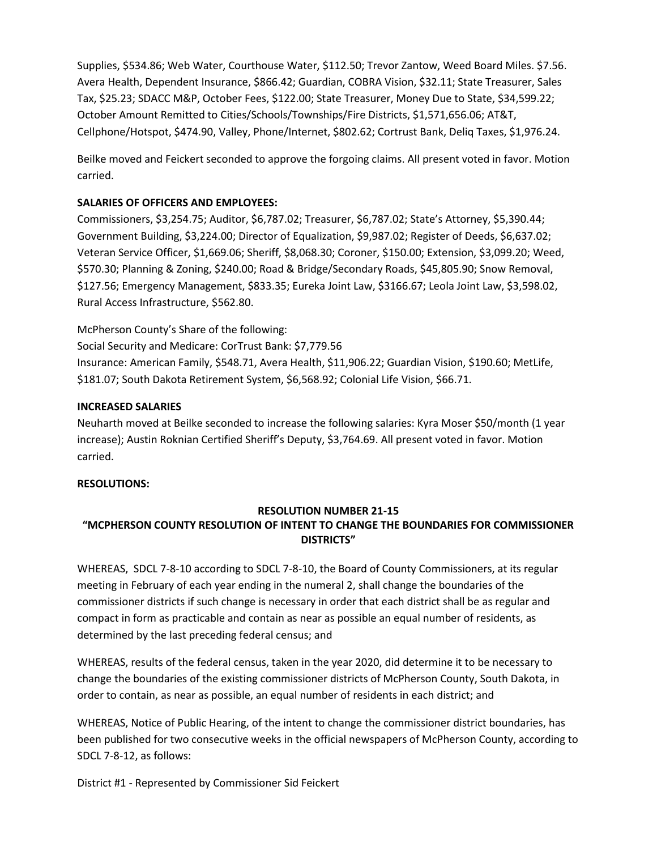Supplies, \$534.86; Web Water, Courthouse Water, \$112.50; Trevor Zantow, Weed Board Miles. \$7.56. Avera Health, Dependent Insurance, \$866.42; Guardian, COBRA Vision, \$32.11; State Treasurer, Sales Tax, \$25.23; SDACC M&P, October Fees, \$122.00; State Treasurer, Money Due to State, \$34,599.22; October Amount Remitted to Cities/Schools/Townships/Fire Districts, \$1,571,656.06; AT&T, Cellphone/Hotspot, \$474.90, Valley, Phone/Internet, \$802.62; Cortrust Bank, Deliq Taxes, \$1,976.24.

Beilke moved and Feickert seconded to approve the forgoing claims. All present voted in favor. Motion carried.

#### **SALARIES OF OFFICERS AND EMPLOYEES:**

Commissioners, \$3,254.75; Auditor, \$6,787.02; Treasurer, \$6,787.02; State's Attorney, \$5,390.44; Government Building, \$3,224.00; Director of Equalization, \$9,987.02; Register of Deeds, \$6,637.02; Veteran Service Officer, \$1,669.06; Sheriff, \$8,068.30; Coroner, \$150.00; Extension, \$3,099.20; Weed, \$570.30; Planning & Zoning, \$240.00; Road & Bridge/Secondary Roads, \$45,805.90; Snow Removal, \$127.56; Emergency Management, \$833.35; Eureka Joint Law, \$3166.67; Leola Joint Law, \$3,598.02, Rural Access Infrastructure, \$562.80.

McPherson County's Share of the following: Social Security and Medicare: CorTrust Bank: \$7,779.56 Insurance: American Family, \$548.71, Avera Health, \$11,906.22; Guardian Vision, \$190.60; MetLife, \$181.07; South Dakota Retirement System, \$6,568.92; Colonial Life Vision, \$66.71.

#### **INCREASED SALARIES**

Neuharth moved at Beilke seconded to increase the following salaries: Kyra Moser \$50/month (1 year increase); Austin Roknian Certified Sheriff's Deputy, \$3,764.69. All present voted in favor. Motion carried.

#### **RESOLUTIONS:**

#### **RESOLUTION NUMBER 21-15**

# **"MCPHERSON COUNTY RESOLUTION OF INTENT TO CHANGE THE BOUNDARIES FOR COMMISSIONER DISTRICTS"**

WHEREAS, SDCL 7-8-10 according to SDCL 7-8-10, the Board of County Commissioners, at its regular meeting in February of each year ending in the numeral 2, shall change the boundaries of the commissioner districts if such change is necessary in order that each district shall be as regular and compact in form as practicable and contain as near as possible an equal number of residents, as determined by the last preceding federal census; and

WHEREAS, results of the federal census, taken in the year 2020, did determine it to be necessary to change the boundaries of the existing commissioner districts of McPherson County, South Dakota, in order to contain, as near as possible, an equal number of residents in each district; and

WHEREAS, Notice of Public Hearing, of the intent to change the commissioner district boundaries, has been published for two consecutive weeks in the official newspapers of McPherson County, according to SDCL 7-8-12, as follows:

District #1 - Represented by Commissioner Sid Feickert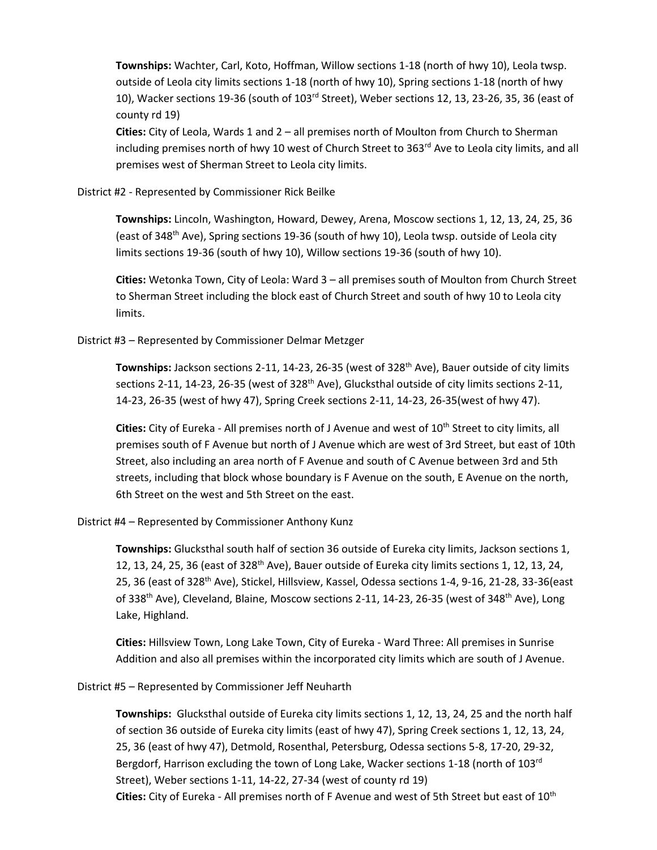**Townships:** Wachter, Carl, Koto, Hoffman, Willow sections 1-18 (north of hwy 10), Leola twsp. outside of Leola city limits sections 1-18 (north of hwy 10), Spring sections 1-18 (north of hwy 10), Wacker sections 19-36 (south of 103rd Street), Weber sections 12, 13, 23-26, 35, 36 (east of county rd 19)

**Cities:** City of Leola, Wards 1 and 2 – all premises north of Moulton from Church to Sherman including premises north of hwy 10 west of Church Street to  $363<sup>rd</sup>$  Ave to Leola city limits, and all premises west of Sherman Street to Leola city limits.

District #2 - Represented by Commissioner Rick Beilke

**Townships:** Lincoln, Washington, Howard, Dewey, Arena, Moscow sections 1, 12, 13, 24, 25, 36 (east of 348<sup>th</sup> Ave), Spring sections 19-36 (south of hwy 10), Leola twsp. outside of Leola city limits sections 19-36 (south of hwy 10), Willow sections 19-36 (south of hwy 10).

**Cities:** Wetonka Town, City of Leola: Ward 3 – all premises south of Moulton from Church Street to Sherman Street including the block east of Church Street and south of hwy 10 to Leola city limits.

District #3 – Represented by Commissioner Delmar Metzger

Townships: Jackson sections 2-11, 14-23, 26-35 (west of 328<sup>th</sup> Ave), Bauer outside of city limits sections 2-11, 14-23, 26-35 (west of 328<sup>th</sup> Ave), Glucksthal outside of city limits sections 2-11, 14-23, 26-35 (west of hwy 47), Spring Creek sections 2-11, 14-23, 26-35(west of hwy 47).

**Cities:** City of Eureka - All premises north of J Avenue and west of 10th Street to city limits, all premises south of F Avenue but north of J Avenue which are west of 3rd Street, but east of 10th Street, also including an area north of F Avenue and south of C Avenue between 3rd and 5th streets, including that block whose boundary is F Avenue on the south, E Avenue on the north, 6th Street on the west and 5th Street on the east.

District #4 – Represented by Commissioner Anthony Kunz

**Townships:** Glucksthal south half of section 36 outside of Eureka city limits, Jackson sections 1, 12, 13, 24, 25, 36 (east of  $328<sup>th</sup>$  Ave), Bauer outside of Eureka city limits sections 1, 12, 13, 24, 25, 36 (east of 328<sup>th</sup> Ave), Stickel, Hillsview, Kassel, Odessa sections 1-4, 9-16, 21-28, 33-36(east of 338<sup>th</sup> Ave), Cleveland, Blaine, Moscow sections 2-11, 14-23, 26-35 (west of 348<sup>th</sup> Ave), Long Lake, Highland.

**Cities:** Hillsview Town, Long Lake Town, City of Eureka - Ward Three: All premises in Sunrise Addition and also all premises within the incorporated city limits which are south of J Avenue.

District #5 – Represented by Commissioner Jeff Neuharth

**Townships:** Glucksthal outside of Eureka city limits sections 1, 12, 13, 24, 25 and the north half of section 36 outside of Eureka city limits (east of hwy 47), Spring Creek sections 1, 12, 13, 24, 25, 36 (east of hwy 47), Detmold, Rosenthal, Petersburg, Odessa sections 5-8, 17-20, 29-32, Bergdorf, Harrison excluding the town of Long Lake, Wacker sections 1-18 (north of 103<sup>rd</sup> Street), Weber sections 1-11, 14-22, 27-34 (west of county rd 19) Cities: City of Eureka - All premises north of F Avenue and west of 5th Street but east of 10<sup>th</sup>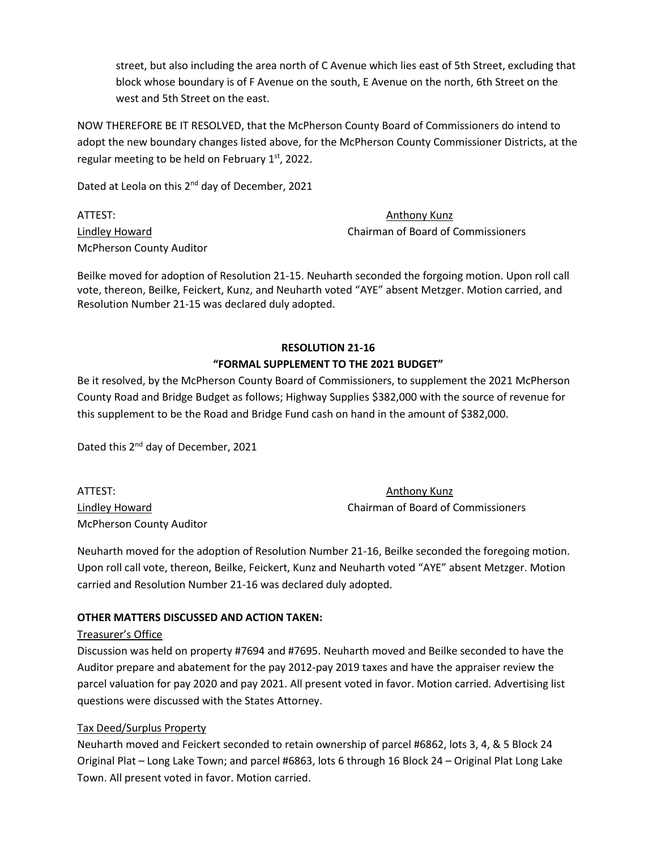street, but also including the area north of C Avenue which lies east of 5th Street, excluding that block whose boundary is of F Avenue on the south, E Avenue on the north, 6th Street on the west and 5th Street on the east.

NOW THEREFORE BE IT RESOLVED, that the McPherson County Board of Commissioners do intend to adopt the new boundary changes listed above, for the McPherson County Commissioner Districts, at the regular meeting to be held on February  $1<sup>st</sup>$ , 2022.

Dated at Leola on this 2<sup>nd</sup> day of December, 2021

ATTEST: Anthony Kunz McPherson County Auditor

Lindley Howard Chairman of Board of Commissioners

Beilke moved for adoption of Resolution 21-15. Neuharth seconded the forgoing motion. Upon roll call vote, thereon, Beilke, Feickert, Kunz, and Neuharth voted "AYE" absent Metzger. Motion carried, and Resolution Number 21-15 was declared duly adopted.

#### **RESOLUTION 21-16 "FORMAL SUPPLEMENT TO THE 2021 BUDGET"**

Be it resolved, by the McPherson County Board of Commissioners, to supplement the 2021 McPherson County Road and Bridge Budget as follows; Highway Supplies \$382,000 with the source of revenue for this supplement to be the Road and Bridge Fund cash on hand in the amount of \$382,000.

Dated this 2<sup>nd</sup> day of December, 2021

ATTEST: Anthony Kunz McPherson County Auditor

Lindley Howard Chairman of Board of Commissioners

Neuharth moved for the adoption of Resolution Number 21-16, Beilke seconded the foregoing motion. Upon roll call vote, thereon, Beilke, Feickert, Kunz and Neuharth voted "AYE" absent Metzger. Motion carried and Resolution Number 21-16 was declared duly adopted.

### **OTHER MATTERS DISCUSSED AND ACTION TAKEN:**

#### Treasurer's Office

Discussion was held on property #7694 and #7695. Neuharth moved and Beilke seconded to have the Auditor prepare and abatement for the pay 2012-pay 2019 taxes and have the appraiser review the parcel valuation for pay 2020 and pay 2021. All present voted in favor. Motion carried. Advertising list questions were discussed with the States Attorney.

### Tax Deed/Surplus Property

Neuharth moved and Feickert seconded to retain ownership of parcel #6862, lots 3, 4, & 5 Block 24 Original Plat – Long Lake Town; and parcel #6863, lots 6 through 16 Block 24 – Original Plat Long Lake Town. All present voted in favor. Motion carried.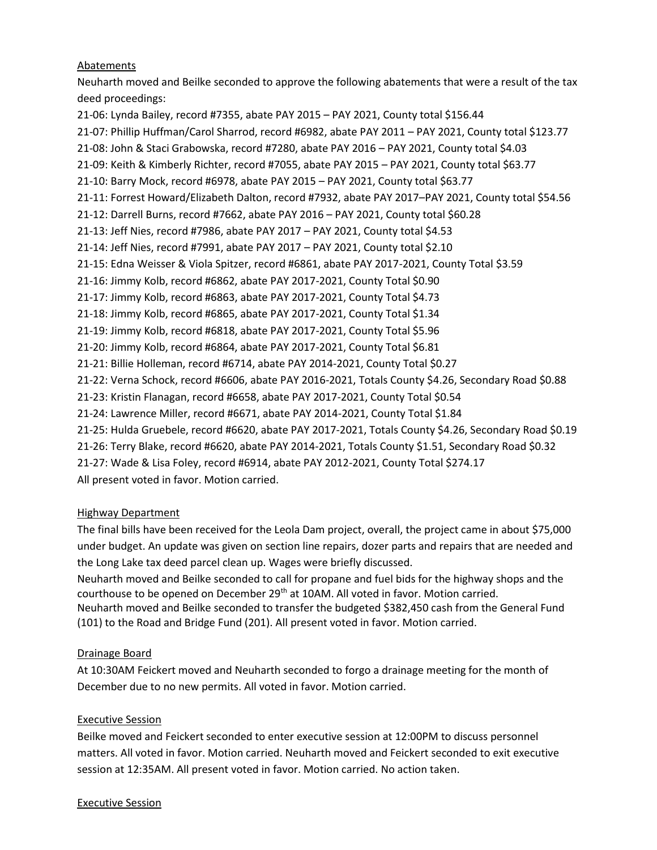### **Abatements**

Neuharth moved and Beilke seconded to approve the following abatements that were a result of the tax deed proceedings:

21-06: Lynda Bailey, record #7355, abate PAY 2015 – PAY 2021, County total \$156.44 21-07: Phillip Huffman/Carol Sharrod, record #6982, abate PAY 2011 – PAY 2021, County total \$123.77 21-08: John & Staci Grabowska, record #7280, abate PAY 2016 – PAY 2021, County total \$4.03 21-09: Keith & Kimberly Richter, record #7055, abate PAY 2015 – PAY 2021, County total \$63.77 21-10: Barry Mock, record #6978, abate PAY 2015 – PAY 2021, County total \$63.77 21-11: Forrest Howard/Elizabeth Dalton, record #7932, abate PAY 2017–PAY 2021, County total \$54.56 21-12: Darrell Burns, record #7662, abate PAY 2016 – PAY 2021, County total \$60.28 21-13: Jeff Nies, record #7986, abate PAY 2017 – PAY 2021, County total \$4.53 21-14: Jeff Nies, record #7991, abate PAY 2017 – PAY 2021, County total \$2.10 21-15: Edna Weisser & Viola Spitzer, record #6861, abate PAY 2017-2021, County Total \$3.59 21-16: Jimmy Kolb, record #6862, abate PAY 2017-2021, County Total \$0.90 21-17: Jimmy Kolb, record #6863, abate PAY 2017-2021, County Total \$4.73 21-18: Jimmy Kolb, record #6865, abate PAY 2017-2021, County Total \$1.34 21-19: Jimmy Kolb, record #6818, abate PAY 2017-2021, County Total \$5.96 21-20: Jimmy Kolb, record #6864, abate PAY 2017-2021, County Total \$6.81 21-21: Billie Holleman, record #6714, abate PAY 2014-2021, County Total \$0.27 21-22: Verna Schock, record #6606, abate PAY 2016-2021, Totals County \$4.26, Secondary Road \$0.88 21-23: Kristin Flanagan, record #6658, abate PAY 2017-2021, County Total \$0.54 21-24: Lawrence Miller, record #6671, abate PAY 2014-2021, County Total \$1.84 21-25: Hulda Gruebele, record #6620, abate PAY 2017-2021, Totals County \$4.26, Secondary Road \$0.19 21-26: Terry Blake, record #6620, abate PAY 2014-2021, Totals County \$1.51, Secondary Road \$0.32 21-27: Wade & Lisa Foley, record #6914, abate PAY 2012-2021, County Total \$274.17 All present voted in favor. Motion carried.

### Highway Department

The final bills have been received for the Leola Dam project, overall, the project came in about \$75,000 under budget. An update was given on section line repairs, dozer parts and repairs that are needed and the Long Lake tax deed parcel clean up. Wages were briefly discussed.

Neuharth moved and Beilke seconded to call for propane and fuel bids for the highway shops and the courthouse to be opened on December 29<sup>th</sup> at 10AM. All voted in favor. Motion carried. Neuharth moved and Beilke seconded to transfer the budgeted \$382,450 cash from the General Fund (101) to the Road and Bridge Fund (201). All present voted in favor. Motion carried.

### Drainage Board

At 10:30AM Feickert moved and Neuharth seconded to forgo a drainage meeting for the month of December due to no new permits. All voted in favor. Motion carried.

### Executive Session

Beilke moved and Feickert seconded to enter executive session at 12:00PM to discuss personnel matters. All voted in favor. Motion carried. Neuharth moved and Feickert seconded to exit executive session at 12:35AM. All present voted in favor. Motion carried. No action taken.